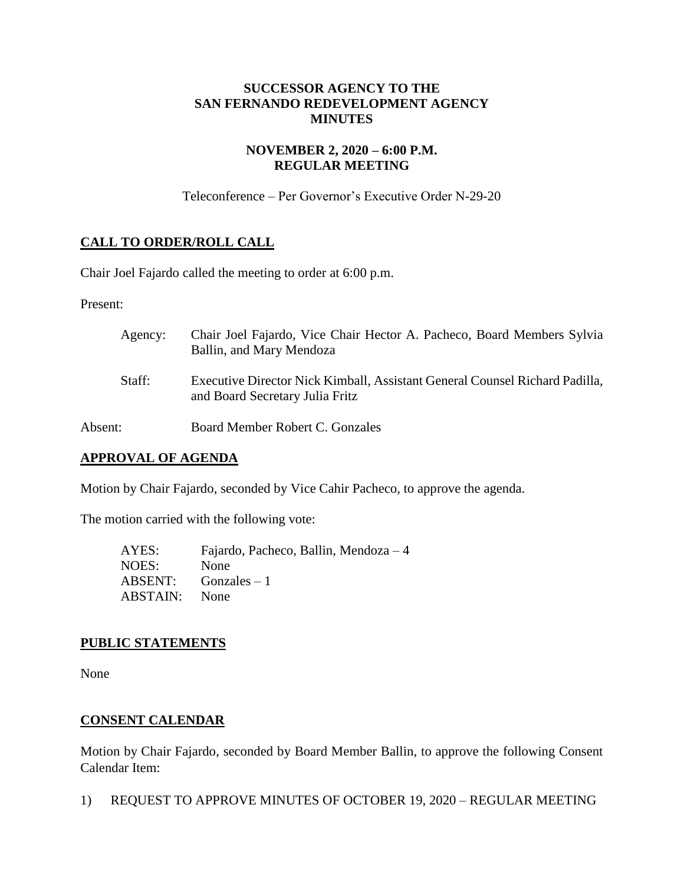## **SUCCESSOR AGENCY TO THE SAN FERNANDO REDEVELOPMENT AGENCY MINUTES**

## **NOVEMBER 2, 2020 – 6:00 P.M. REGULAR MEETING**

Teleconference – Per Governor's Executive Order N-29-20

# **CALL TO ORDER/ROLL CALL**

Chair Joel Fajardo called the meeting to order at 6:00 p.m.

Present:

| Agency: | Chair Joel Fajardo, Vice Chair Hector A. Pacheco, Board Members Sylvia<br>Ballin, and Mary Mendoza             |
|---------|----------------------------------------------------------------------------------------------------------------|
| Staff:  | Executive Director Nick Kimball, Assistant General Counsel Richard Padilla,<br>and Board Secretary Julia Fritz |
| Absent: | Board Member Robert C. Gonzales                                                                                |

# **APPROVAL OF AGENDA**

Motion by Chair Fajardo, seconded by Vice Cahir Pacheco, to approve the agenda.

The motion carried with the following vote:

| AYES:                | Fajardo, Pacheco, Ballin, Mendoza $-4$ |
|----------------------|----------------------------------------|
| NOES:                | None                                   |
|                      | $ABSENT:$ Gonzales $-1$                |
| <b>ABSTAIN:</b> None |                                        |

# **PUBLIC STATEMENTS**

None

# **CONSENT CALENDAR**

Motion by Chair Fajardo, seconded by Board Member Ballin, to approve the following Consent Calendar Item:

1) REQUEST TO APPROVE MINUTES OF OCTOBER 19, 2020 – REGULAR MEETING